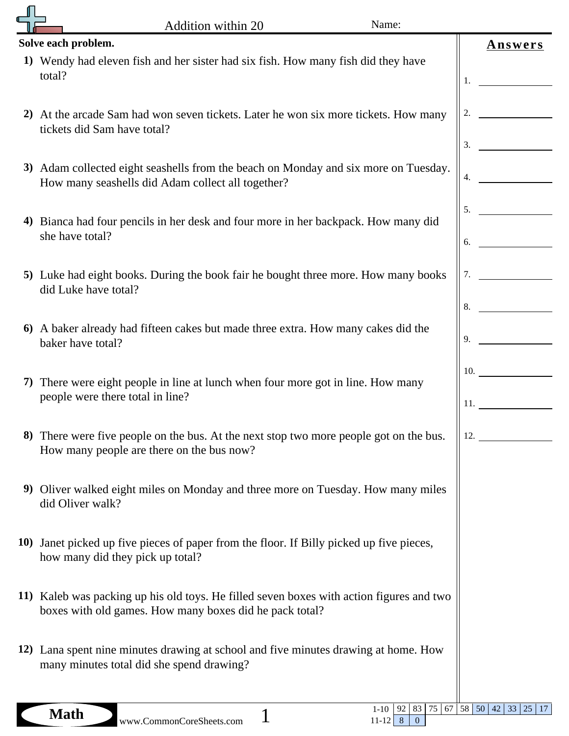|    | Name:<br>Addition within 20                                                                                                                         |                            |
|----|-----------------------------------------------------------------------------------------------------------------------------------------------------|----------------------------|
|    | Solve each problem.                                                                                                                                 |                            |
|    | 1) Wendy had eleven fish and her sister had six fish. How many fish did they have<br>total?                                                         | <b>Answers</b><br>1.       |
|    | 2) At the arcade Sam had won seven tickets. Later he won six more tickets. How many<br>tickets did Sam have total?                                  | 2.<br>3.                   |
|    | 3) Adam collected eight seashells from the beach on Monday and six more on Tuesday.<br>How many seashells did Adam collect all together?            | 4.                         |
| 4) | Bianca had four pencils in her desk and four more in her backpack. How many did<br>she have total?                                                  | 5.<br>6.                   |
|    | 5) Luke had eight books. During the book fair he bought three more. How many books<br>did Luke have total?                                          | 7.<br>8.                   |
|    | 6) A baker already had fifteen cakes but made three extra. How many cakes did the<br>baker have total?                                              | 9.                         |
| 7) | There were eight people in line at lunch when four more got in line. How many<br>people were there total in line?                                   | 10.                        |
|    | 8) There were five people on the bus. At the next stop two more people got on the bus.<br>How many people are there on the bus now?                 | 12.                        |
|    | 9) Oliver walked eight miles on Monday and three more on Tuesday. How many miles<br>did Oliver walk?                                                |                            |
|    | 10) Janet picked up five pieces of paper from the floor. If Billy picked up five pieces,<br>how many did they pick up total?                        |                            |
|    | 11) Kaleb was packing up his old toys. He filled seven boxes with action figures and two<br>boxes with old games. How many boxes did he pack total? |                            |
|    | 12) Lana spent nine minutes drawing at school and five minutes drawing at home. How<br>many minutes total did she spend drawing?                    |                            |
|    | 92<br>$1 - 10$<br>83<br><b>Math</b><br>www.CommonCoreSheets.com<br>$11-12$ 8<br>$\overline{0}$                                                      | 75 67 58 50 42 33 25<br>17 |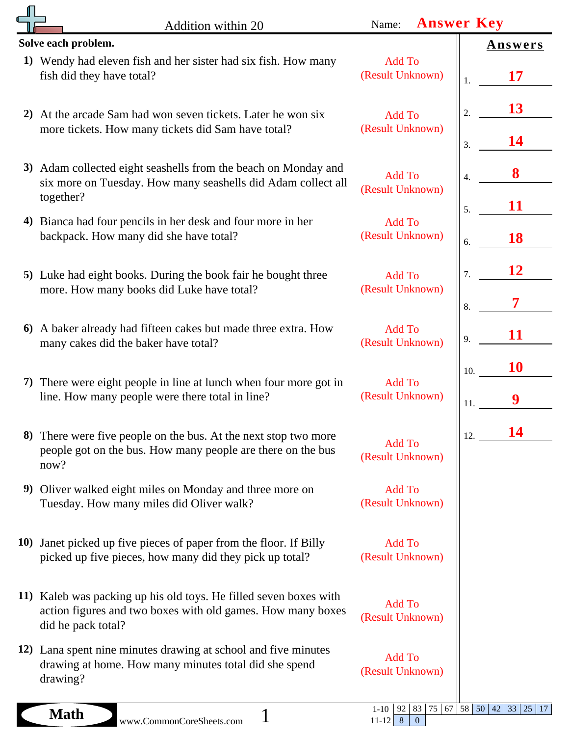|    | Addition within 20                                                                                                                                     | Name:                                                   | <b>Answer Key</b>               |
|----|--------------------------------------------------------------------------------------------------------------------------------------------------------|---------------------------------------------------------|---------------------------------|
|    | Solve each problem.                                                                                                                                    |                                                         | <b>Answers</b>                  |
|    | 1) Wendy had eleven fish and her sister had six fish. How many<br>fish did they have total?                                                            | <b>Add To</b><br>(Result Unknown)                       | 17<br>1.                        |
|    | 2) At the arcade Sam had won seven tickets. Later he won six<br>more tickets. How many tickets did Sam have total?                                     | <b>Add To</b><br>(Result Unknown)                       | 13<br>$\overline{2}$            |
|    | 3) Adam collected eight seashells from the beach on Monday and<br>six more on Tuesday. How many seashells did Adam collect all                         | <b>Add To</b><br>(Result Unknown)                       | 14<br>3.<br>8<br>$\overline{4}$ |
| 4) | together?<br>Bianca had four pencils in her desk and four more in her<br>backpack. How many did she have total?                                        | <b>Add To</b><br>(Result Unknown)                       | 11<br>5.<br>18<br>6.            |
|    | 5) Luke had eight books. During the book fair he bought three<br>more. How many books did Luke have total?                                             | <b>Add To</b><br>(Result Unknown)                       | 12<br>7.                        |
|    | 6) A baker already had fifteen cakes but made three extra. How<br>many cakes did the baker have total?                                                 | <b>Add To</b><br>(Result Unknown)                       | 8.<br>11<br>9.                  |
| 7) | There were eight people in line at lunch when four more got in<br>line. How many people were there total in line?                                      | <b>Add To</b><br>(Result Unknown)                       | 10<br>10.                       |
| 8) | There were five people on the bus. At the next stop two more<br>people got on the bus. How many people are there on the bus<br>now?                    | Add To<br>(Result Unknown)                              | 14<br>12.                       |
|    | 9) Oliver walked eight miles on Monday and three more on<br>Tuesday. How many miles did Oliver walk?                                                   | Add To<br>(Result Unknown)                              |                                 |
|    | 10) Janet picked up five pieces of paper from the floor. If Billy<br>picked up five pieces, how many did they pick up total?                           | Add To<br>(Result Unknown)                              |                                 |
|    | 11) Kaleb was packing up his old toys. He filled seven boxes with<br>action figures and two boxes with old games. How many boxes<br>did he pack total? | Add To<br>(Result Unknown)                              |                                 |
|    | 12) Lana spent nine minutes drawing at school and five minutes<br>drawing at home. How many minutes total did she spend<br>drawing?                    | Add To<br>(Result Unknown)                              |                                 |
|    | <b>Math</b><br>www.CommonCoreSheets.com                                                                                                                | $1 - 10$<br>92<br>75<br>83<br>$11-12$ 8<br>$\mathbf{0}$ | 25<br>$\vert$ 17                |